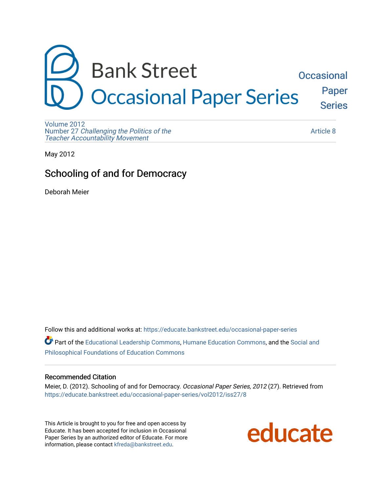

[Volume 2012](https://educate.bankstreet.edu/occasional-paper-series/vol2012)  Number 27 [Challenging the Politics of the](https://educate.bankstreet.edu/occasional-paper-series/vol2012/iss27)  [Teacher Accountability Movement](https://educate.bankstreet.edu/occasional-paper-series/vol2012/iss27)

[Article 8](https://educate.bankstreet.edu/occasional-paper-series/vol2012/iss27/8) 

May 2012

## Schooling of and for Democracy

Deborah Meier

Follow this and additional works at: [https://educate.bankstreet.edu/occasional-paper-series](https://educate.bankstreet.edu/occasional-paper-series?utm_source=educate.bankstreet.edu%2Foccasional-paper-series%2Fvol2012%2Fiss27%2F8&utm_medium=PDF&utm_campaign=PDFCoverPages) 

Part of the [Educational Leadership Commons,](http://network.bepress.com/hgg/discipline/1230?utm_source=educate.bankstreet.edu%2Foccasional-paper-series%2Fvol2012%2Fiss27%2F8&utm_medium=PDF&utm_campaign=PDFCoverPages) [Humane Education Commons](http://network.bepress.com/hgg/discipline/1295?utm_source=educate.bankstreet.edu%2Foccasional-paper-series%2Fvol2012%2Fiss27%2F8&utm_medium=PDF&utm_campaign=PDFCoverPages), and the [Social and](http://network.bepress.com/hgg/discipline/799?utm_source=educate.bankstreet.edu%2Foccasional-paper-series%2Fvol2012%2Fiss27%2F8&utm_medium=PDF&utm_campaign=PDFCoverPages) [Philosophical Foundations of Education Commons](http://network.bepress.com/hgg/discipline/799?utm_source=educate.bankstreet.edu%2Foccasional-paper-series%2Fvol2012%2Fiss27%2F8&utm_medium=PDF&utm_campaign=PDFCoverPages) 

## Recommended Citation

Meier, D. (2012). Schooling of and for Democracy. Occasional Paper Series, 2012 (27). Retrieved from [https://educate.bankstreet.edu/occasional-paper-series/vol2012/iss27/8](https://educate.bankstreet.edu/occasional-paper-series/vol2012/iss27/8?utm_source=educate.bankstreet.edu%2Foccasional-paper-series%2Fvol2012%2Fiss27%2F8&utm_medium=PDF&utm_campaign=PDFCoverPages)

This Article is brought to you for free and open access by Educate. It has been accepted for inclusion in Occasional Paper Series by an authorized editor of Educate. For more information, please contact [kfreda@bankstreet.edu.](mailto:kfreda@bankstreet.edu)

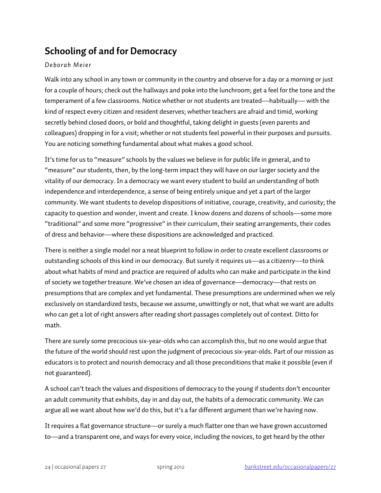## **Schooling of and for Democracy**

## *Deborah Meier*

Walk into any school in any town or community in the country and observe for a day or a morning or just for a couple of hours; check out the hallways and poke into the lunchroom; get a feel for the tone and the temperament of a few classrooms. Notice whether or not students are treated—habitually— with the kind of respect every citizen and resident deserves; whether teachers are afraid and timid, working secretly behind closed doors, or bold and thoughtful, taking delight in guests (even parents and colleagues) dropping in for a visit; whether or not students feel powerful in their purposes and pursuits. You are noticing something fundamental about what makes a good school.

It's time for us to "measure" schools by the values we believe in for public life in general, and to "measure" our students, then, by the long-term impact they will have on our larger society and the vitality of our democracy. In a democracy we want every student to build an understanding of both independence and interdependence, a sense of being entirely unique and yet a part of the larger community. We want students to develop dispositions of initiative, courage, creativity, and curiosity; the capacity to question and wonder, invent and create. I know dozens and dozens of schools—some more "traditional" and some more "progressive" in their curriculum, their seating arrangements, their codes of dress and behavior—where these dispositions are acknowledged and practiced.

There is neither a single model nor a neat blueprint to follow in order to create excellent classrooms or outstanding schools of this kind in our democracy. But surely it requires us—as a citizenry—to think about what habits of mind and practice are required of adults who can make and participate in the kind of society we together treasure. We've chosen an idea of governance—democracy—that rests on presumptions that are complex and yet fundamental. These presumptions are undermined when we rely exclusively on standardized tests, because we assume, unwittingly or not, that what we want are adults who can get a lot of right answers after reading short passages completely out of context. Ditto for math.

There are surely some precocious six-year-olds who can accomplish this, but no one would argue that the future of the world should rest upon the judgment of precocious six-year-olds. Part of our mission as educators is to protect and nourish democracy and all those preconditions that make it possible (even if not guaranteed).

A school can't teach the values and dispositions of democracy to the young if students don't encounter an adult community that exhibits, day in and day out, the habits of a democratic community. We can argue all we want about how we'd do this, but it's a far different argument than we're having now.

It requires a flat governance structure—or surely a much flatter one than we have grown accustomed to—and a transparent one, and ways for every voice, including the novices, to get heard by the other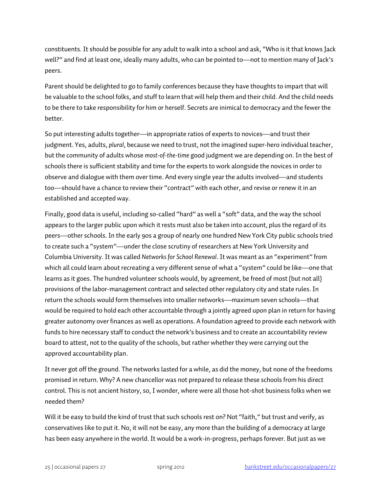constituents.It should be possible for any adult to walk into a school and ask, "Who is it that knows Jack well?" and find at least one, ideally many adults, who can be pointed to—not to mention many of Jack's peers.

Parent should be delighted to go to family conferences because they have thoughts to impart that will be valuable to the school folks, and stuff to learn that will help them and their child. And the child needs to be there to take responsibility for him or herself. Secrets are inimical to democracy and the fewer the better.

So put interesting adults together—in appropriate ratios of experts to novices—and trust their judgment. Yes, adults, *plural*, because we need to trust, not the imagined super-hero individual teacher, but the community of adults whose *most-of-the-time* good judgment we are depending on. In the best of schools there is sufficient stability and time for the experts to work alongside the novices in order to observe and dialogue with them over time. And every single year the adults involved—and students too—should have a chance to review their "contract" with each other, and revise or renew it in an established and accepted way.

Finally, good data is useful, including so-called "hard" as well a "soft" data, and the way the school appears to the larger public upon which it rests must also be taken into account, plus the regard of its peers—other schools.In the early 90s a group of nearly one hundred New York City public schools tried to create such a "system"—under the close scrutiny of researchers at New York University and Columbia University. It was called *Networks for School Renewal*. It was meant as an "experiment" from which all could learn about recreating a very different sense of what a "system" could be like—one that learns as it goes. The hundred volunteer schools would, by agreement, be freed of most (but not all) provisions of the labor-management contract and selected other regulatory city and state rules. In return the schools would form themselves into smaller networks—maximum seven schools—that would be required to hold each other accountable through a jointly agreed upon plan in return for having greater autonomy over finances as well as operations. A foundation agreed to provide each network with funds to hire necessary staff to conduct the network's business and to create an accountability review board to attest, not to the quality of the schools, but rather whether they were carrying out the approved accountability plan.

It never got off the ground. The networks lasted for a while, as did the money, but none of the freedoms promised in return. Why? A new chancellor was not prepared to release these schools from his direct control. This is not ancient history, so, I wonder, where were all those hot-shot business folks when we needed them?

Will it be easy to build the kind of trust that such schools rest on? Not "faith," but trust and verify, as conservatives like to put it. No, it will not be easy, any more than the building of a democracy at large has been easy anywhere in the world. It would be a work-in-progress, perhaps forever. But just as we